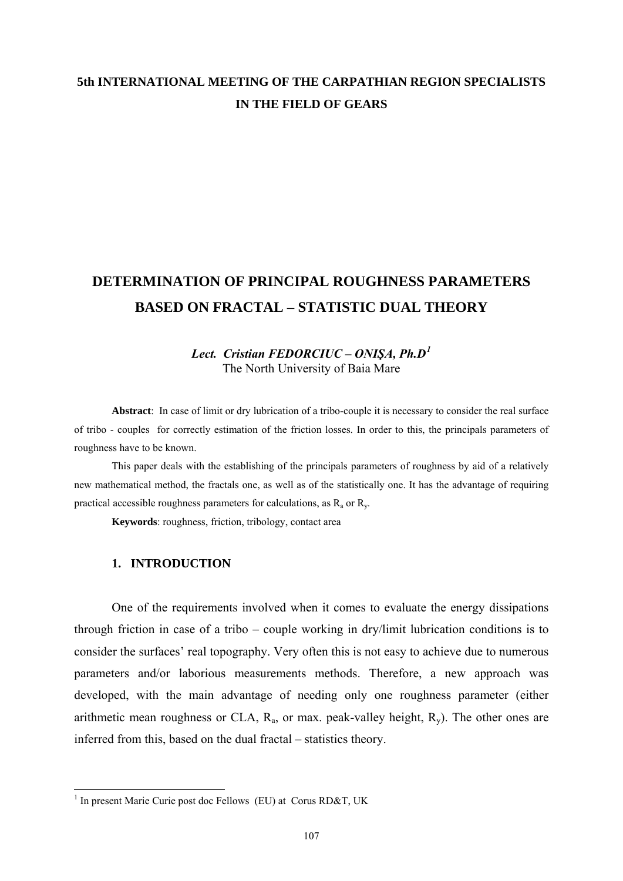## **5th INTERNATIONAL MEETING OF THE CARPATHIAN REGION SPECIALISTS IN THE FIELD OF GEARS**

# **DETERMINATION OF PRINCIPAL ROUGHNESS PARAMETERS BASED ON FRACTAL – STATISTIC DUAL THEORY**

## *Lect. Cristian FEDORCIUC – ONIŞA, Ph.D[1](#page-0-0)* The North University of Baia Mare

**Abstract**: In case of limit or dry lubrication of a tribo-couple it is necessary to consider the real surface of tribo - couples for correctly estimation of the friction losses. In order to this, the principals parameters of roughness have to be known.

This paper deals with the establishing of the principals parameters of roughness by aid of a relatively new mathematical method, the fractals one, as well as of the statistically one. It has the advantage of requiring practical accessible roughness parameters for calculations, as  $R_a$  or  $R_v$ .

**Keywords**: roughness, friction, tribology, contact area

### **1. INTRODUCTION**

One of the requirements involved when it comes to evaluate the energy dissipations through friction in case of a tribo – couple working in dry/limit lubrication conditions is to consider the surfaces' real topography. Very often this is not easy to achieve due to numerous parameters and/or laborious measurements methods. Therefore, a new approach was developed, with the main advantage of needing only one roughness parameter (either arithmetic mean roughness or CLA,  $R_a$ , or max. peak-valley height,  $R_v$ ). The other ones are inferred from this, based on the dual fractal – statistics theory.

<span id="page-0-0"></span><sup>&</sup>lt;sup>1</sup> In present Marie Curie post doc Fellows (EU) at Corus RD&T, UK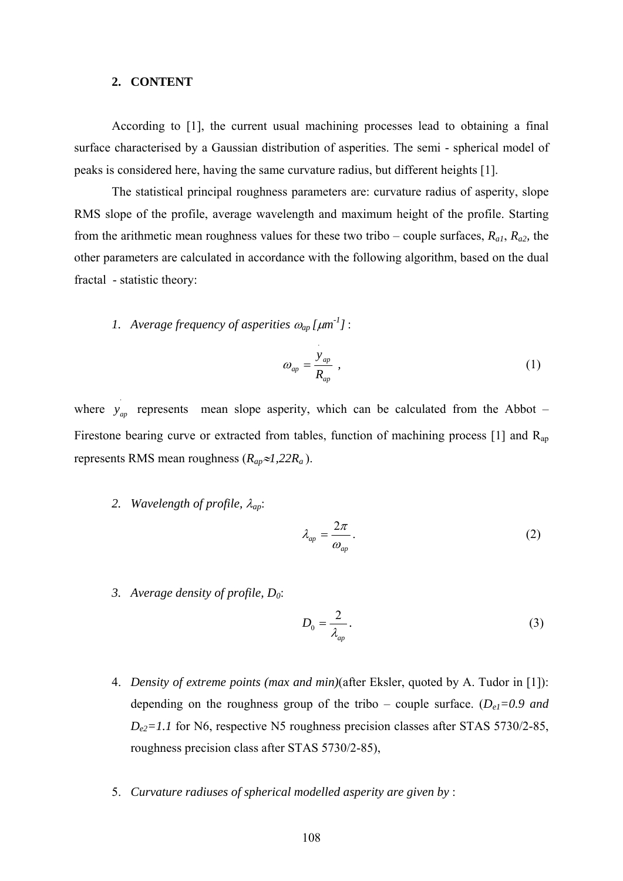#### **2. CONTENT**

 According to [1], the current usual machining processes lead to obtaining a final surface characterised by a Gaussian distribution of asperities. The semi - spherical model of peaks is considered here, having the same curvature radius, but different heights [1].

 The statistical principal roughness parameters are: curvature radius of asperity, slope RMS slope of the profile, average wavelength and maximum height of the profile. Starting from the arithmetic mean roughness values for these two tribo – couple surfaces, *Ra1*, *Ra2,* the other parameters are calculated in accordance with the following algorithm, based on the dual fractal - statistic theory:

*1. Average frequency of asperities* ω*ap [*μ*m -1]*:

$$
\omega_{ap} = \frac{y_{ap}}{R_{ap}} \,, \tag{1}
$$

where  $y_{ap}$  represents mean slope asperity, which can be calculated from the Abbot – Firestone bearing curve or extracted from tables, function of machining process [1] and  $R_{ap}$ represents RMS mean roughness (*Rap*≈*1,22Ra* ).

⋅

*2. Wavelength of profile,* λ*ap*:

$$
\lambda_{ap} = \frac{2\pi}{\omega_{ap}}.\tag{2}
$$

*3. Average density of profile, D0*:

$$
D_0 = \frac{2}{\lambda_{ap}}.\tag{3}
$$

- 4. *Density of extreme points (max and min)*(after Eksler, quoted by A. Tudor in [1]): depending on the roughness group of the tribo – couple surface. (*De1=0.9 and*   $D_{e2}=1.1$  for N6, respective N5 roughness precision classes after STAS 5730/2-85, roughness precision class after STAS 5730/2-85),
- 5. *Curvature radiuses of spherical modelled asperity are given by* :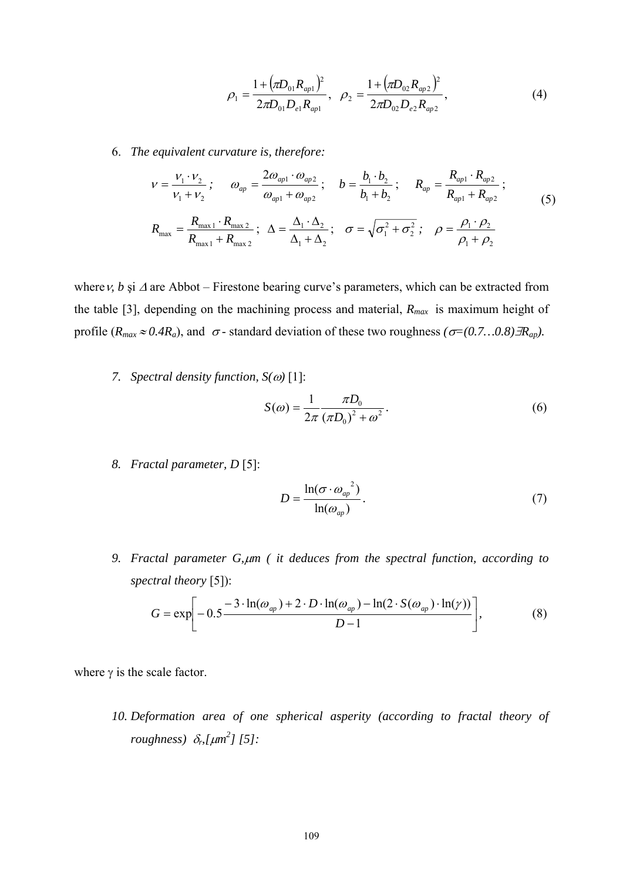$$
\rho_1 = \frac{1 + (\pi D_{01} R_{ap1})^2}{2 \pi D_{01} D_{e1} R_{ap1}}, \quad \rho_2 = \frac{1 + (\pi D_{02} R_{ap2})^2}{2 \pi D_{02} D_{e2} R_{ap2}}, \tag{4}
$$

6. *The equivalent curvature is, therefore:*

$$
v = \frac{V_1 \cdot V_2}{V_1 + V_2}; \qquad \omega_{ap} = \frac{2\omega_{ap1} \cdot \omega_{ap2}}{\omega_{ap1} + \omega_{ap2}}; \qquad b = \frac{b_1 \cdot b_2}{b_1 + b_2}; \qquad R_{ap} = \frac{R_{ap1} \cdot R_{ap2}}{R_{ap1} + R_{ap2}};
$$
  

$$
R_{\text{max}} = \frac{R_{\text{max }1} \cdot R_{\text{max }2}}{R_{\text{max }1} + R_{\text{max }2}}; \quad \Delta = \frac{\Delta_1 \cdot \Delta_2}{\Delta_1 + \Delta_2}; \quad \sigma = \sqrt{\sigma_1^2 + \sigma_2^2}; \quad \rho = \frac{\rho_1 \cdot \rho_2}{\rho_1 + \rho_2}
$$
(5)

whereν*, b* şi <sup>Δ</sup> are Abbot – Firestone bearing curve's parameters, which can be extracted from the table [3], depending on the machining process and material, *Rmax* is maximum height of profile ( $R_{max} \approx 0.4R_a$ ), and  $\sigma$ -standard deviation of these two roughness  $(\sigma=(0.7...0.8)\exists R_{ap})$ .

*7. Spectral density function, S(*ω*)* [1]:

$$
S(\omega) = \frac{1}{2\pi} \frac{\pi D_0}{(\pi D_0)^2 + \omega^2}.
$$
 (6)

*8. Fractal parameter, D* [5]:

$$
D = \frac{\ln(\sigma \cdot {\omega_{ap}}^2)}{\ln(\omega_{ap})}.
$$
 (7)

*9. Fractal parameter G,*μ*m ( it deduces from the spectral function, according to spectral theory* [5]):

$$
G = \exp\left[-0.5\frac{-3\cdot\ln(\omega_{ap}) + 2\cdot D\cdot\ln(\omega_{ap}) - \ln(2\cdot S(\omega_{ap})\cdot\ln(\gamma))}{D-1}\right],\tag{8}
$$

where  $\gamma$  is the scale factor.

*10. Deformation area of one spherical asperity (according to fractal theory of roughness)* δ*r,[*μ*m 2 ] [5]:*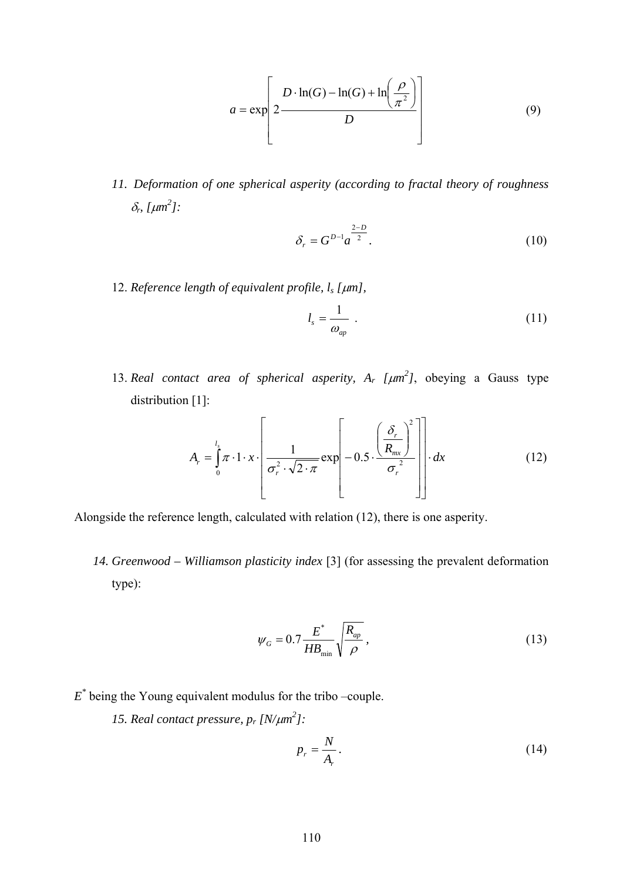$$
a = \exp\left[2\frac{D \cdot \ln(G) - \ln(G) + \ln\left(\frac{\rho}{\pi^2}\right)}{D}\right]
$$
(9)

*11. Deformation of one spherical asperity (according to fractal theory of roughness*   $\delta_r$ , [ $\mu$ *m*<sup>2</sup>]:

$$
\delta_r = G^{D-1} a^{\frac{2-D}{2}}.
$$
\n(10)

12. *Reference length of equivalent profile, ls [*μ*m],*

$$
l_s = \frac{1}{\omega_{ap}} \tag{11}
$$

13. *Real contact area of spherical asperity,*  $A_r$  *[* $\mu$ *m<sup>2</sup>], obeying a Gauss type* distribution [1]:

$$
A_r = \int_0^l \pi \cdot 1 \cdot x \cdot \left[ \frac{1}{\sigma_r^2 \cdot \sqrt{2 \cdot \pi}} \exp \left[ -0.5 \cdot \frac{\left( \frac{\delta_r}{R_{mx}} \right)^2}{\sigma_r^2} \right] \right] \cdot dx \tag{12}
$$

Alongside the reference length, calculated with relation (12), there is one asperity.

*14. Greenwood – Williamson plasticity index* [3] (for assessing the prevalent deformation type):

$$
\psi_G = 0.7 \frac{E^*}{HB_{\min}} \sqrt{\frac{R_{ap}}{\rho}},\tag{13}
$$

- *E\** being the Young equivalent modulus for the tribo –couple.
	- *15. Real contact pressure,*  $p_r \left[ \frac{N}{\mu m^2} \right]$ *:*

$$
p_r = \frac{N}{A_r}.\tag{14}
$$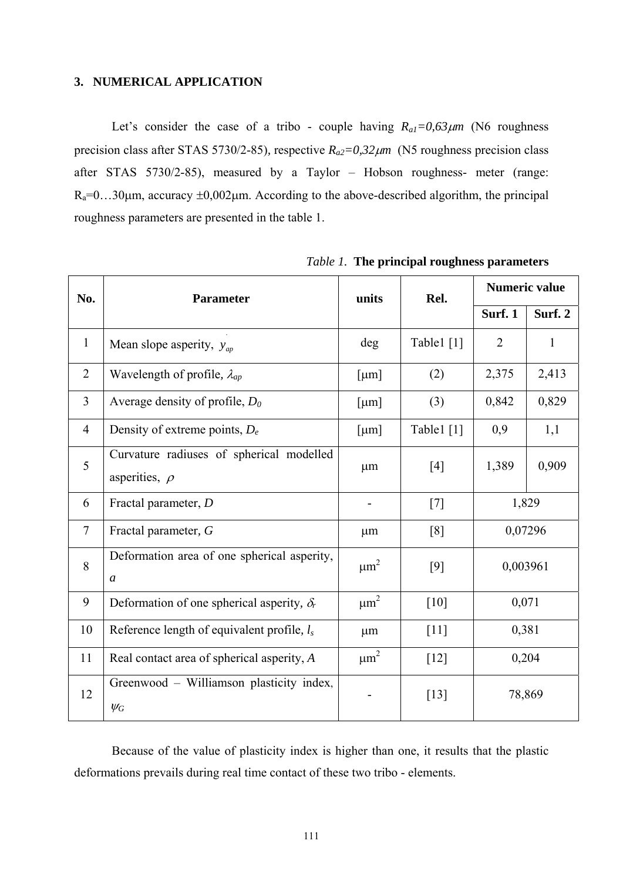## **3. NUMERICAL APPLICATION**

Let's consider the case of a tribo - couple having  $R_{a1} = 0.63 \mu m$  (N6 roughness precision class after STAS 5730/2-85), respective  $R_{a2} = 0.32 \mu m$  (N5 roughness precision class after STAS 5730/2-85), measured by a Taylor – Hobson roughness- meter (range:  $R_a=0...30 \mu m$ , accuracy  $\pm 0.002 \mu m$ . According to the above-described algorithm, the principal roughness parameters are presented in the table 1.

| No.            | <b>Parameter</b>                                               | units                 | Rel.               | <b>Numeric value</b> |         |
|----------------|----------------------------------------------------------------|-----------------------|--------------------|----------------------|---------|
|                |                                                                |                       |                    | Surf. 1              | Surf. 2 |
| $\mathbf{1}$   | Mean slope asperity, $y_{ap}$                                  | deg                   | Table1 $[1]$       | $\overline{2}$       | 1       |
| $\overline{2}$ | Wavelength of profile, $\lambda_{ap}$                          | [µm]                  | (2)                | 2,375                | 2,413   |
| $\overline{3}$ | Average density of profile, $D_0$                              | $\lceil \mu m \rceil$ | (3)                | 0,842                | 0,829   |
| $\overline{4}$ | Density of extreme points, $D_e$                               | [µm]                  | Table1 [1]         | 0,9                  | 1,1     |
| 5              | Curvature radiuses of spherical modelled<br>asperities, $\rho$ | $\mu$ m               | [4]                | 1,389                | 0,909   |
| 6              | Fractal parameter, D                                           | -                     | $[7]$              | 1,829                |         |
| $\tau$         | Fractal parameter, G                                           | $\mu$ m               | [8]                | 0,07296              |         |
| 8              | Deformation area of one spherical asperity,<br>$\mathfrak{a}$  | $\mu$ m <sup>2</sup>  | $[9]$              | 0,003961             |         |
| 9              | Deformation of one spherical asperity, $\delta_r$              | $\mu\text{m}^2$       | $[10]$             | 0,071                |         |
| 10             | Reference length of equivalent profile, $l_s$                  | $\mu$ m               | $[11]$             | 0,381                |         |
| 11             | Real contact area of spherical asperity, A                     | $\mu$ m <sup>2</sup>  | $\lceil 12 \rceil$ | 0,204                |         |
| 12             | Greenwood - Williamson plasticity index,<br>$\psi_G$           |                       | $[13]$             | 78,869               |         |

*Table 1.* **The principal roughness parameters** 

Because of the value of plasticity index is higher than one, it results that the plastic deformations prevails during real time contact of these two tribo - elements.